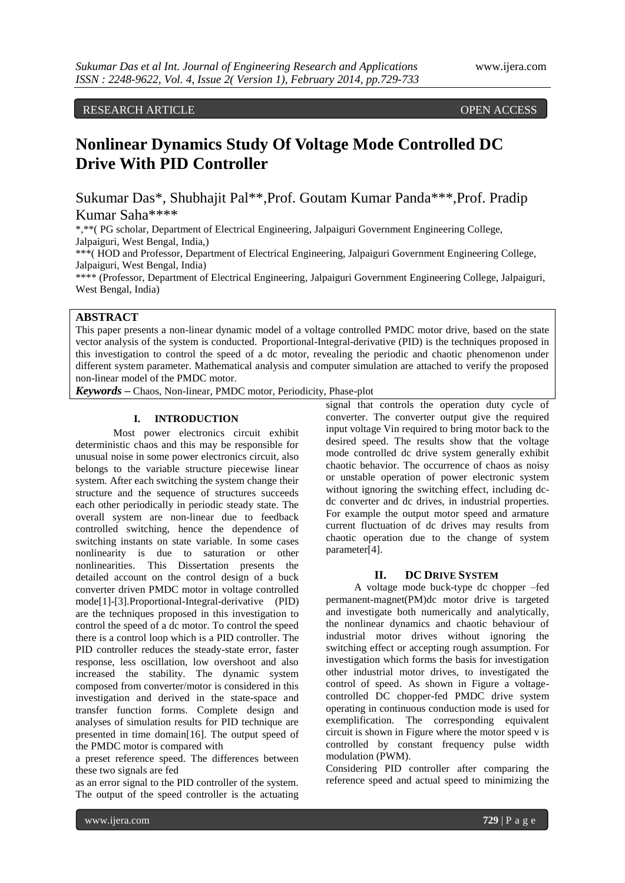RESEARCH ARTICLE OPEN ACCESS

# **Nonlinear Dynamics Study Of Voltage Mode Controlled DC Drive With PID Controller**

Sukumar Das\*, Shubhajit Pal\*\*,Prof. Goutam Kumar Panda\*\*\*,Prof. Pradip Kumar Saha\*\*\*\*

\*,\*\*( PG scholar, Department of Electrical Engineering, Jalpaiguri Government Engineering College, Jalpaiguri, West Bengal, India,)

\*\*\*( HOD and Professor, Department of Electrical Engineering, Jalpaiguri Government Engineering College, Jalpaiguri, West Bengal, India)

\*\*\*\* (Professor, Department of Electrical Engineering, Jalpaiguri Government Engineering College, Jalpaiguri, West Bengal, India)

# **ABSTRACT**

This paper presents a non-linear dynamic model of a voltage controlled PMDC motor drive, based on the state vector analysis of the system is conducted. Proportional-Integral-derivative (PID) is the techniques proposed in this investigation to control the speed of a dc motor, revealing the periodic and chaotic phenomenon under different system parameter. Mathematical analysis and computer simulation are attached to verify the proposed non-linear model of the PMDC motor.

*Keywords* **–** Chaos, Non-linear, PMDC motor, Periodicity, Phase-plot

# **I. INTRODUCTION**

Most power electronics circuit exhibit deterministic chaos and this may be responsible for unusual noise in some power electronics circuit, also belongs to the variable structure piecewise linear system. After each switching the system change their structure and the sequence of structures succeeds each other periodically in periodic steady state. The overall system are non-linear due to feedback controlled switching, hence the dependence of switching instants on state variable. In some cases nonlinearity is due to saturation or other nonlinearities. This Dissertation presents the detailed account on the control design of a buck converter driven PMDC motor in voltage controlled mode[1]-[3].Proportional-Integral-derivative (PID) are the techniques proposed in this investigation to control the speed of a dc motor. To control the speed there is a control loop which is a PID controller. The PID controller reduces the steady-state error, faster response, less oscillation, low overshoot and also increased the stability. The dynamic system composed from converter/motor is considered in this investigation and derived in the state-space and transfer function forms. Complete design and analyses of simulation results for PID technique are presented in time domain[16]. The output speed of the PMDC motor is compared with

a preset reference speed. The differences between these two signals are fed

as an error signal to the PID controller of the system. The output of the speed controller is the actuating signal that controls the operation duty cycle of converter. The converter output give the required input voltage Vin required to bring motor back to the desired speed. The results show that the voltage mode controlled dc drive system generally exhibit chaotic behavior. The occurrence of chaos as noisy or unstable operation of power electronic system without ignoring the switching effect, including dcdc converter and dc drives, in industrial properties. For example the output motor speed and armature current fluctuation of dc drives may results from chaotic operation due to the change of system parameter[4].

### **II. DC DRIVE SYSTEM**

A voltage mode buck-type dc chopper –fed permanent-magnet(PM)dc motor drive is targeted and investigate both numerically and analytically, the nonlinear dynamics and chaotic behaviour of industrial motor drives without ignoring the switching effect or accepting rough assumption. For investigation which forms the basis for investigation other industrial motor drives, to investigated the control of speed. As shown in Figure a voltagecontrolled DC chopper-fed PMDC drive system operating in continuous conduction mode is used for exemplification. The corresponding equivalent circuit is shown in Figure where the motor speed v is controlled by constant frequency pulse width modulation (PWM).

Considering PID controller after comparing the reference speed and actual speed to minimizing the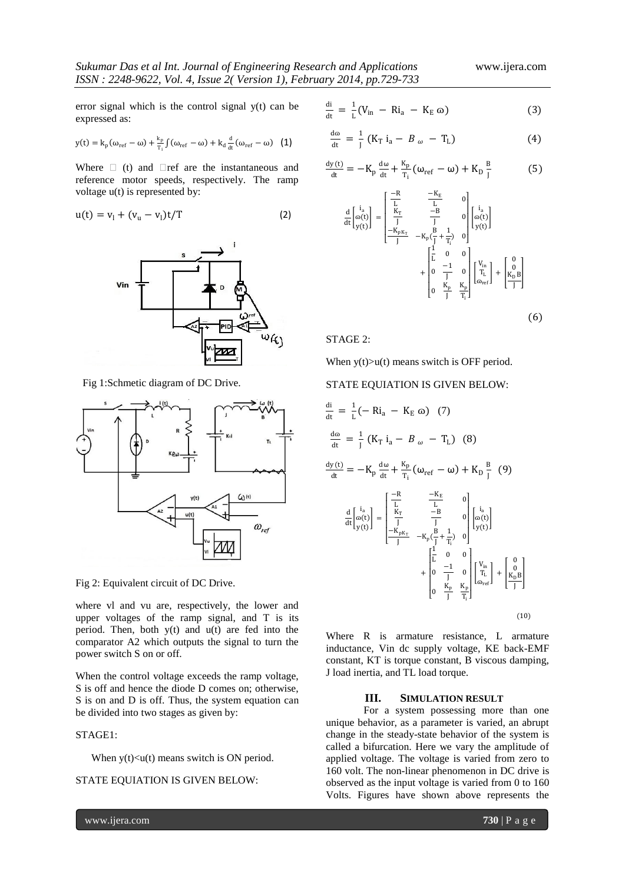error signal which is the control signal y(t) can be expressed as:

$$
y(t) = k_p(\omega_{ref} - \omega) + \frac{k_p}{T_i} \int (\omega_{ref} - \omega) + k_d \frac{d}{dt} (\omega_{ref} - \omega) \quad (1)
$$

Where  $\Box$  (t) and  $\Box$ ref are the instantaneous and reference motor speeds, respectively. The ramp voltage u(t) is represented by:

$$
u(t) = v_1 + (v_u - v_1)t/T
$$
 (2)



Fig 1:Schmetic diagram of DC Drive.



Fig 2: Equivalent circuit of DC Drive.

where vl and vu are, respectively, the lower and upper voltages of the ramp signal, and T is its period. Then, both y(t) and u(t) are fed into the comparator A2 which outputs the signal to turn the power switch S on or off.

When the control voltage exceeds the ramp voltage, S is off and hence the diode D comes on; otherwise, S is on and D is off. Thus, the system equation can be divided into two stages as given by:

### STAGE1:

When  $y(t) \le u(t)$  means switch is ON period.

# STATE EQUIATION IS GIVEN BELOW:

$$
\frac{di}{dt} = \frac{1}{L}(V_{in} - Ri_{a} - K_{E} \omega)
$$
 (3)

$$
\frac{d\omega}{dt} = \frac{1}{J} (K_T i_a - B_\omega - T_L)
$$
 (4)

$$
\frac{dy(t)}{dt} = -K_p \frac{d\omega}{dt} + \frac{K_p}{T_i} (\omega_{ref} - \omega) + K_p \frac{B}{J}
$$
(5)

$$
\frac{d}{dt} \begin{bmatrix} i_a \\ o(t) \end{bmatrix} = \begin{bmatrix} \frac{-R}{L} & \frac{-R_E}{L} & 0 \\ \frac{K_T}{J} & \frac{-B}{J} & 0 \\ \frac{-K_{pK_T}}{J} & -K_p(\frac{B}{J} + \frac{1}{T_i}) & 0 \end{bmatrix} \begin{bmatrix} i_a \\ o(t) \end{bmatrix} + \begin{bmatrix} \frac{1}{L} & 0 & 0 \\ 0 & \frac{-1}{J} & 0 \\ 0 & \frac{K_p}{J} & \frac{K_p}{T_i} \end{bmatrix} \begin{bmatrix} V_{in} \\ T_L \\ o_{ref} \end{bmatrix} + \begin{bmatrix} 0 \\ \frac{0}{J} \\ 0 \end{bmatrix}
$$
\n(6)

STAGE 2:

When  $y(t) > u(t)$  means switch is OFF period.

## STATE EQUIATION IS GIVEN BELOW:

$$
\frac{di}{dt} = \frac{1}{L}(-Ri_a - K_E \omega) (7)
$$
\n
$$
\frac{d\omega}{dt} = \frac{1}{J} (K_T i_a - B_\omega - T_L) (8)
$$
\n
$$
\frac{dy(t)}{dt} = -K_p \frac{d\omega}{dt} + \frac{K_p}{T_i} (\omega_{ref} - \omega) + K_p \frac{B}{J} (9)
$$
\n
$$
\frac{d}{dt} \left[\frac{i_a}{\omega(t)}\right] = \begin{bmatrix} \frac{-R}{L} & \frac{-K_E}{L} & 0\\ \frac{K_T}{J} & -\frac{B}{J} & 0\\ \frac{-K_{pK_T}}{J} & -K_p(\frac{B}{J} + \frac{1}{T_i}) & 0\\ \frac{-I}{J} & 0 & 0\\ 0 & \frac{K_p}{J} & \frac{K_p}{T_i} \end{bmatrix} \begin{bmatrix} v_{in} \\ v_{in} \\ v_{ref} \end{bmatrix} + \begin{bmatrix} 0 \\ 0 \\ \frac{K_p}{J} \end{bmatrix}
$$
\n(10)

Where R is armature resistance, L armature inductance, Vin dc supply voltage, KE back-EMF constant, KT is torque constant, B viscous damping, J load inertia, and TL load torque.

## **III. SIMULATION RESULT**

For a system possessing more than one unique behavior, as a parameter is varied, an abrupt change in the steady-state behavior of the system is called a bifurcation. Here we vary the amplitude of applied voltage. The voltage is varied from zero to 160 volt. The non-linear phenomenon in DC drive is observed as the input voltage is varied from 0 to 160 Volts. Figures have shown above represents the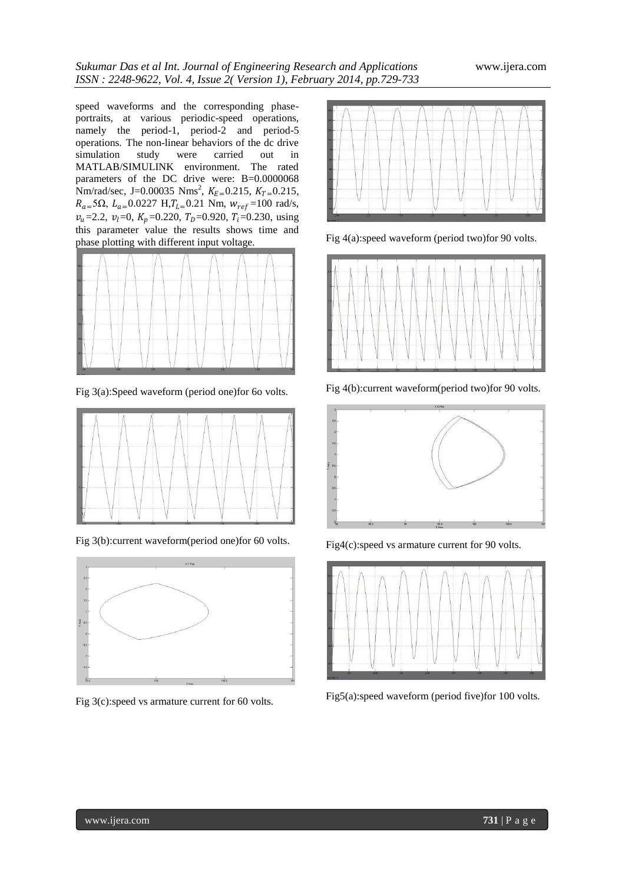speed waveforms and the corresponding phaseportraits, at various periodic-speed operations, namely the period-1, period-2 and period-5 operations. The non-linear behaviors of the dc drive simulation study were carried out in MATLAB/SIMULINK environment. The rated parameters of the DC drive were: B=0.0000068 Nm/rad/sec, J=0.00035 Nms<sup>2</sup>,  $K_{E=0.215}$ ,  $K_{T=0.215}$ ,  $R_{a=5}$ Ω,  $L_{a=0.0227}$  H, $T_{L=0.21}$  Nm,  $W_{ref}=100$  rad/s,  $v_u$ =2.2,  $v_l$ =0,  $K_p$ =0.220,  $T_p$ =0.920,  $T_i$ =0.230, using this parameter value the results shows time and phase plotting with different input voltage.



Fig 3(a):Speed waveform (period one)for 6o volts.



Fig 3(b):current waveform(period one)for 60 volts.



Fig 3(c):speed vs armature current for 60 volts.



Fig 4(a):speed waveform (period two)for 90 volts.



Fig 4(b):current waveform(period two)for 90 volts.



Fig4(c):speed vs armature current for 90 volts.



Fig5(a):speed waveform (period five)for 100 volts.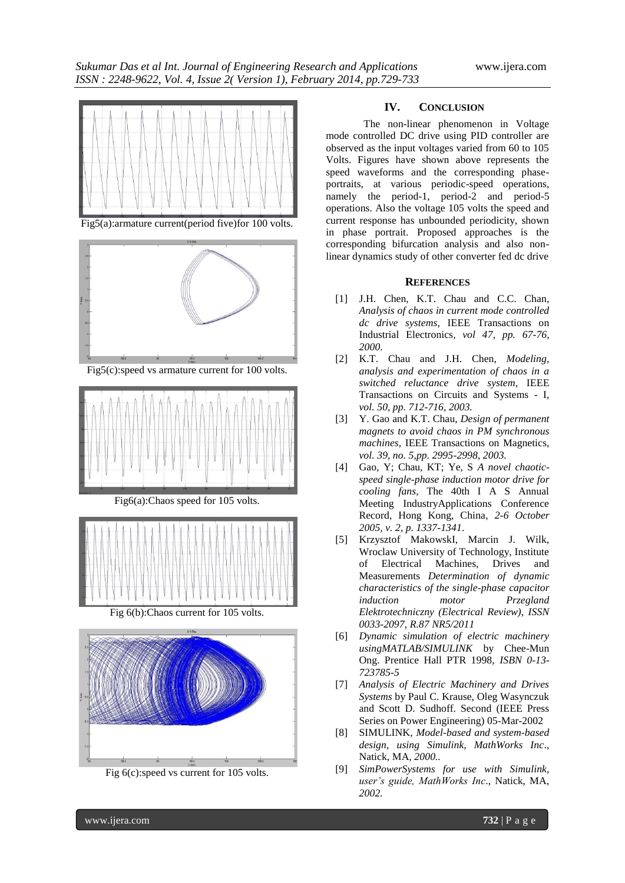

Fig5(a):armature current(period five)for 100 volts.



Fig5(c):speed vs armature current for 100 volts.



Fig6(a):Chaos speed for 105 volts.



Fig 6(b):Chaos current for 105 volts.



Fig 6(c):speed vs current for 105 volts.

## **IV. CONCLUSION**

The non-linear phenomenon in Voltage mode controlled DC drive using PID controller are observed as the input voltages varied from 60 to 105 Volts. Figures have shown above represents the speed waveforms and the corresponding phaseportraits, at various periodic-speed operations, namely the period-1, period-2 and period-5 operations. Also the voltage 105 volts the speed and current response has unbounded periodicity, shown in phase portrait. Proposed approaches is the corresponding bifurcation analysis and also nonlinear dynamics study of other converter fed dc drive

#### **REFERENCES**

- [1] J.H. Chen, K.T. Chau and C.C. Chan*, Analysis of chaos in current mode controlled dc drive systems,* IEEE Transactions on Industrial Electronics*, vol 47, pp. 67-76, 2000*.
- [2] K.T. Chau and J.H. Chen, *Modeling, analysis and experimentation of chaos in a switched reluctance drive system*, IEEE Transactions on Circuits and Systems - I, *vol. 50, pp. 712-716, 2003.*
- [3] Y. Gao and K.T. Chau, *Design of permanent magnets to avoid chaos in PM synchronous machines*, IEEE Transactions on Magnetics, *vol. 39, no. 5,pp. 2995-2998, 2003.*
- [4] Gao, Y; Chau, KT; Ye, S *A novel chaoticspeed single-phase induction motor drive for cooling fans,* The 40th I A S Annual Meeting IndustryApplications Conference Record, Hong Kong, China*, 2-6 October 2005, v. 2, p. 1337-1341*.
- [5] Krzysztof MakowskI, Marcin J. Wilk, Wroclaw University of Technology, Institute of Electrical Machines, Drives and Measurements *Determination of dynamic characteristics of the single-phase capacitor induction motor Przegland Elektrotechniczny (Electrical Review)*, *ISSN 0033-2097, R.87 NR5/2011*
- [6] *Dynamic simulation of electric machinery usingMATLAB/SIMULINK* by Chee-Mun Ong. Prentice Hall PTR 1998, *ISBN 0-13- 723785-5*
- [7] *Analysis of Electric Machinery and Drives Systems* by Paul C. Krause, Oleg Wasynczuk and Scott D. Sudhoff. Second (IEEE Press Series on Power Engineering) 05-Mar-2002
- [8] SIMULINK*, Model-based and system-based design, using Simulink, MathWorks Inc*., Natick, MA*, 2000..*
- [9] *SimPowerSystems for use with Simulink, user's guide, MathWorks Inc*., Natick, MA, *2002.*